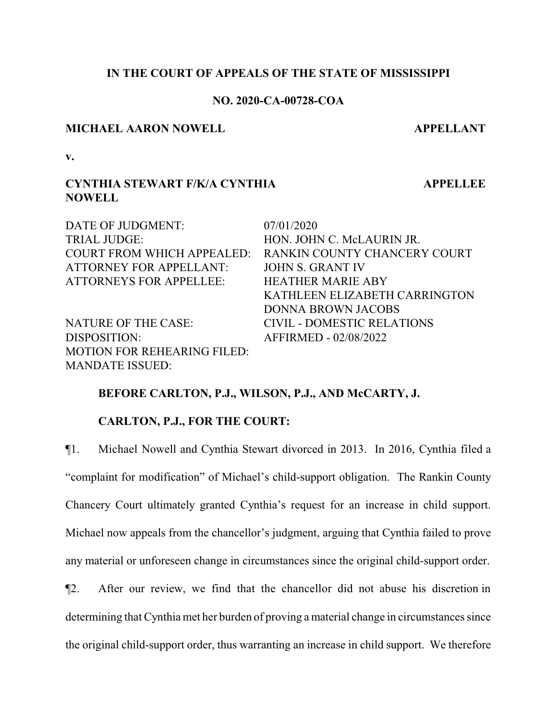## **IN THE COURT OF APPEALS OF THE STATE OF MISSISSIPPI**

## **NO. 2020-CA-00728-COA**

#### **MICHAEL AARON NOWELL APPELLANT**

**APPELLEE**

**v.**

# **CYNTHIA STEWART F/K/A CYNTHIA NOWELL**

DATE OF JUDGMENT: 07/01/2020 TRIAL JUDGE: HON. JOHN C. McLAURIN JR. COURT FROM WHICH APPEALED: RANKIN COUNTY CHANCERY COURT ATTORNEY FOR APPELLANT: JOHN S. GRANT IV ATTORNEYS FOR APPELLEE: HEATHER MARIE ABY KATHLEEN ELIZABETH CARRINGTON DONNA BROWN JACOBS NATURE OF THE CASE: CIVIL - DOMESTIC RELATIONS DISPOSITION: AFFIRMED - 02/08/2022 MOTION FOR REHEARING FILED: MANDATE ISSUED:

## **BEFORE CARLTON, P.J., WILSON, P.J., AND McCARTY, J.**

## **CARLTON, P.J., FOR THE COURT:**

¶1. Michael Nowell and Cynthia Stewart divorced in 2013. In 2016, Cynthia filed a "complaint for modification" of Michael's child-support obligation. The Rankin County Chancery Court ultimately granted Cynthia's request for an increase in child support. Michael now appeals from the chancellor's judgment, arguing that Cynthia failed to prove any material or unforeseen change in circumstances since the original child-support order.

¶2. After our review, we find that the chancellor did not abuse his discretion in determining that Cynthia met her burden of proving a material change in circumstances since the original child-support order, thus warranting an increase in child support. We therefore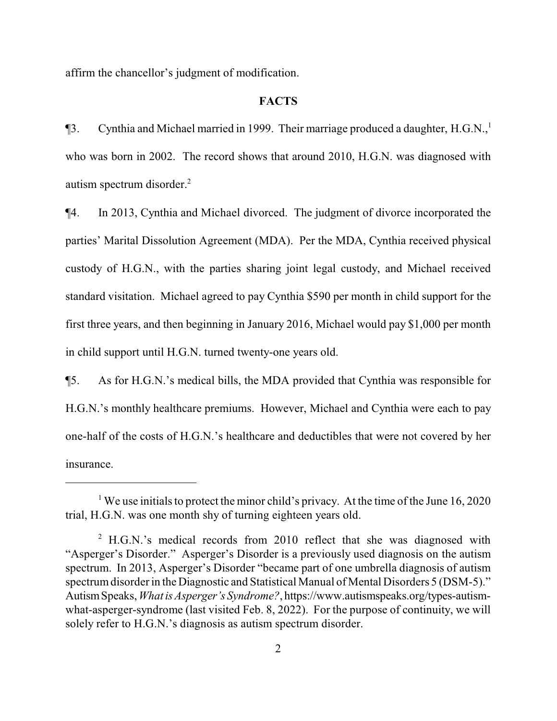affirm the chancellor's judgment of modification.

#### **FACTS**

 $\P$ 3. Cynthia and Michael married in 1999. Their marriage produced a daughter, H.G.N.,<sup>1</sup> who was born in 2002. The record shows that around 2010, H.G.N. was diagnosed with autism spectrum disorder.<sup>2</sup>

¶4. In 2013, Cynthia and Michael divorced. The judgment of divorce incorporated the parties' Marital Dissolution Agreement (MDA). Per the MDA, Cynthia received physical custody of H.G.N., with the parties sharing joint legal custody, and Michael received standard visitation. Michael agreed to pay Cynthia \$590 per month in child support for the first three years, and then beginning in January 2016, Michael would pay \$1,000 per month in child support until H.G.N. turned twenty-one years old.

¶5. As for H.G.N.'s medical bills, the MDA provided that Cynthia was responsible for H.G.N.'s monthly healthcare premiums. However, Michael and Cynthia were each to pay one-half of the costs of H.G.N.'s healthcare and deductibles that were not covered by her insurance.

<sup>&</sup>lt;sup>1</sup> We use initials to protect the minor child's privacy. At the time of the June 16, 2020 trial, H.G.N. was one month shy of turning eighteen years old.

<sup>&</sup>lt;sup>2</sup> H.G.N.'s medical records from 2010 reflect that she was diagnosed with "Asperger's Disorder." Asperger's Disorder is a previously used diagnosis on the autism spectrum. In 2013, Asperger's Disorder "became part of one umbrella diagnosis of autism spectrum disorder in the Diagnostic and Statistical Manual of Mental Disorders 5 (DSM-5)." AutismSpeaks, *WhatisAsperger's Syndrome?*, https://www.autismspeaks.org/types-autismwhat-asperger-syndrome (last visited Feb. 8, 2022). For the purpose of continuity, we will solely refer to H.G.N.'s diagnosis as autism spectrum disorder.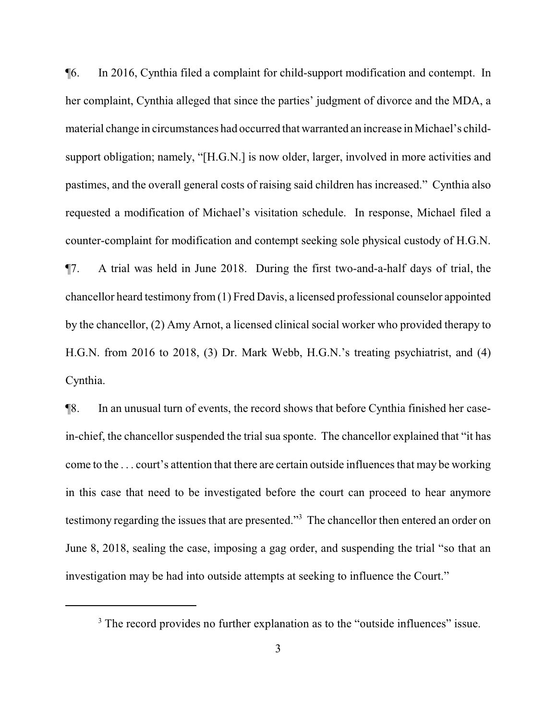¶6. In 2016, Cynthia filed a complaint for child-support modification and contempt. In her complaint, Cynthia alleged that since the parties' judgment of divorce and the MDA, a material change in circumstances had occurred that warranted an increase in Michael's childsupport obligation; namely, "[H.G.N.] is now older, larger, involved in more activities and pastimes, and the overall general costs of raising said children has increased." Cynthia also requested a modification of Michael's visitation schedule. In response, Michael filed a counter-complaint for modification and contempt seeking sole physical custody of H.G.N. ¶7. A trial was held in June 2018. During the first two-and-a-half days of trial, the chancellor heard testimony from (1) Fred Davis, a licensed professional counselor appointed by the chancellor, (2) Amy Arnot, a licensed clinical social worker who provided therapy to H.G.N. from 2016 to 2018, (3) Dr. Mark Webb, H.G.N.'s treating psychiatrist, and (4) Cynthia.

¶8. In an unusual turn of events, the record shows that before Cynthia finished her casein-chief, the chancellor suspended the trial sua sponte. The chancellor explained that "it has come to the . . . court's attention that there are certain outside influences that may be working in this case that need to be investigated before the court can proceed to hear anymore testimony regarding the issues that are presented."<sup>3</sup> The chancellor then entered an order on June 8, 2018, sealing the case, imposing a gag order, and suspending the trial "so that an investigation may be had into outside attempts at seeking to influence the Court."

<sup>&</sup>lt;sup>3</sup> The record provides no further explanation as to the "outside influences" issue.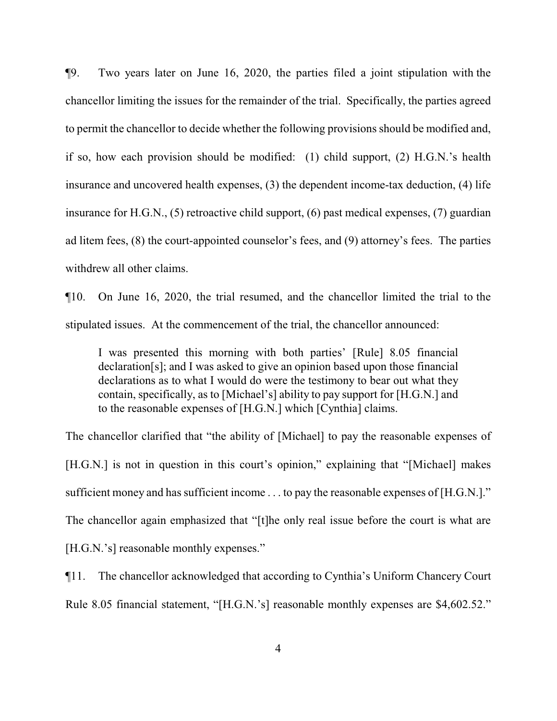¶9. Two years later on June 16, 2020, the parties filed a joint stipulation with the chancellor limiting the issues for the remainder of the trial. Specifically, the parties agreed to permit the chancellor to decide whether the following provisions should be modified and, if so, how each provision should be modified: (1) child support, (2) H.G.N.'s health insurance and uncovered health expenses, (3) the dependent income-tax deduction, (4) life insurance for H.G.N., (5) retroactive child support, (6) past medical expenses, (7) guardian ad litem fees, (8) the court-appointed counselor's fees, and (9) attorney's fees. The parties withdrew all other claims.

¶10. On June 16, 2020, the trial resumed, and the chancellor limited the trial to the stipulated issues. At the commencement of the trial, the chancellor announced:

I was presented this morning with both parties' [Rule] 8.05 financial declaration[s]; and I was asked to give an opinion based upon those financial declarations as to what I would do were the testimony to bear out what they contain, specifically, as to [Michael's] ability to pay support for [H.G.N.] and to the reasonable expenses of [H.G.N.] which [Cynthia] claims.

The chancellor clarified that "the ability of [Michael] to pay the reasonable expenses of [H.G.N.] is not in question in this court's opinion," explaining that "[Michael] makes sufficient money and has sufficient income ... to pay the reasonable expenses of [H.G.N.]." The chancellor again emphasized that "[t]he only real issue before the court is what are [H.G.N.'s] reasonable monthly expenses."

¶11. The chancellor acknowledged that according to Cynthia's Uniform Chancery Court Rule 8.05 financial statement, "[H.G.N.'s] reasonable monthly expenses are \$4,602.52."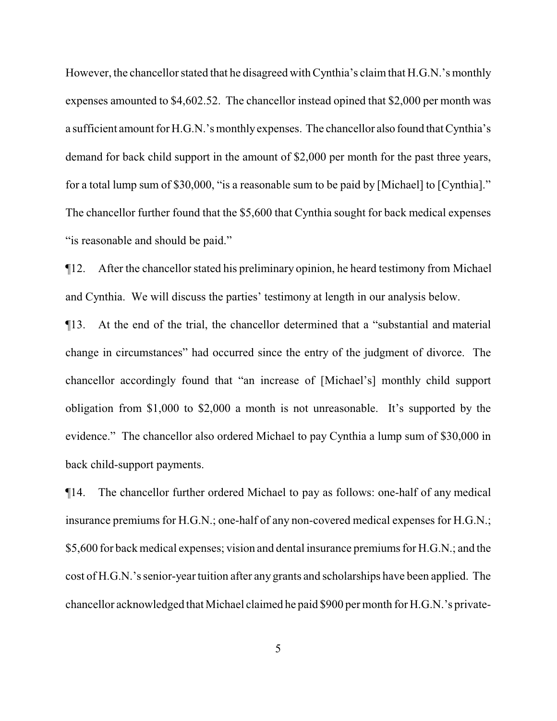However, the chancellor stated that he disagreed with Cynthia's claim that H.G.N.'s monthly expenses amounted to \$4,602.52. The chancellor instead opined that \$2,000 per month was a sufficient amount for H.G.N.'s monthlyexpenses. The chancellor also found that Cynthia's demand for back child support in the amount of \$2,000 per month for the past three years, for a total lump sum of \$30,000, "is a reasonable sum to be paid by [Michael] to [Cynthia]." The chancellor further found that the \$5,600 that Cynthia sought for back medical expenses "is reasonable and should be paid."

¶12. After the chancellor stated his preliminary opinion, he heard testimony from Michael and Cynthia. We will discuss the parties' testimony at length in our analysis below.

¶13. At the end of the trial, the chancellor determined that a "substantial and material change in circumstances" had occurred since the entry of the judgment of divorce. The chancellor accordingly found that "an increase of [Michael's] monthly child support obligation from \$1,000 to \$2,000 a month is not unreasonable. It's supported by the evidence." The chancellor also ordered Michael to pay Cynthia a lump sum of \$30,000 in back child-support payments.

¶14. The chancellor further ordered Michael to pay as follows: one-half of any medical insurance premiums for H.G.N.; one-half of any non-covered medical expenses for H.G.N.; \$5,600 for back medical expenses; vision and dental insurance premiums for H.G.N.; and the cost of H.G.N.'s senior-year tuition after any grants and scholarships have been applied. The chancellor acknowledged that Michael claimed he paid \$900 per month for H.G.N.'s private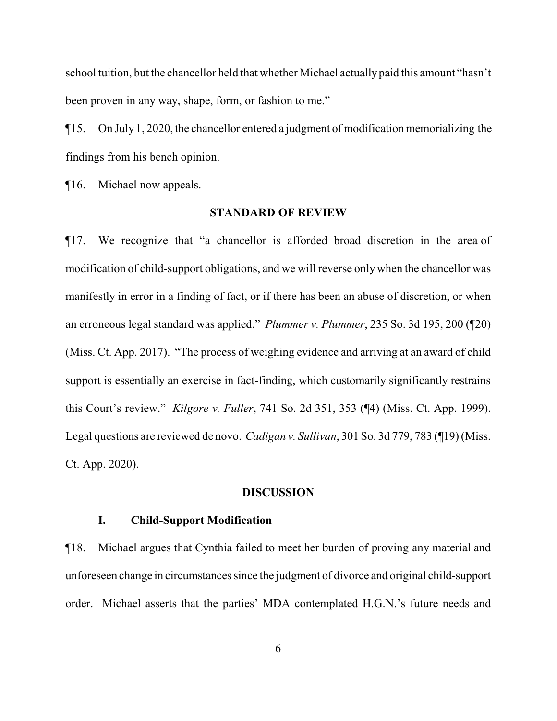school tuition, but the chancellor held that whether Michael actually paid this amount "hasn't been proven in any way, shape, form, or fashion to me."

¶15. On July 1, 2020, the chancellor entered a judgment of modification memorializing the findings from his bench opinion.

¶16. Michael now appeals.

### **STANDARD OF REVIEW**

¶17. We recognize that "a chancellor is afforded broad discretion in the area of modification of child-support obligations, and we will reverse only when the chancellor was manifestly in error in a finding of fact, or if there has been an abuse of discretion, or when an erroneous legal standard was applied." *Plummer v. Plummer*, 235 So. 3d 195, 200 (¶20) (Miss. Ct. App. 2017). "The process of weighing evidence and arriving at an award of child support is essentially an exercise in fact-finding, which customarily significantly restrains this Court's review." *Kilgore v. Fuller*, 741 So. 2d 351, 353 (¶4) (Miss. Ct. App. 1999). Legal questions are reviewed de novo. *Cadigan v. Sullivan*, 301 So. 3d 779, 783 (¶19) (Miss. Ct. App. 2020).

#### **DISCUSSION**

## **I. Child-Support Modification**

¶18. Michael argues that Cynthia failed to meet her burden of proving any material and unforeseen change in circumstances since the judgment of divorce and original child-support order. Michael asserts that the parties' MDA contemplated H.G.N.'s future needs and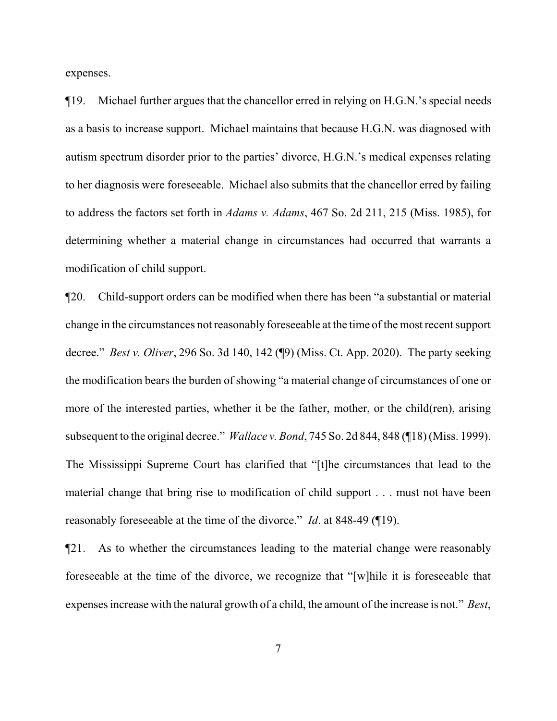expenses.

¶19. Michael further argues that the chancellor erred in relying on H.G.N.'s special needs as a basis to increase support. Michael maintains that because H.G.N. was diagnosed with autism spectrum disorder prior to the parties' divorce, H.G.N.'s medical expenses relating to her diagnosis were foreseeable. Michael also submits that the chancellor erred by failing to address the factors set forth in *Adams v. Adams*, 467 So. 2d 211, 215 (Miss. 1985), for determining whether a material change in circumstances had occurred that warrants a modification of child support.

¶20. Child-support orders can be modified when there has been "a substantial or material change in the circumstances not reasonably foreseeable at the time of the most recent support decree." *Best v. Oliver*, 296 So. 3d 140, 142 (¶9) (Miss. Ct. App. 2020). The party seeking the modification bears the burden of showing "a material change of circumstances of one or more of the interested parties, whether it be the father, mother, or the child(ren), arising subsequent to the original decree." *Wallace v. Bond*, 745 So. 2d 844, 848 (¶18) (Miss. 1999). The Mississippi Supreme Court has clarified that "[t]he circumstances that lead to the material change that bring rise to modification of child support . . . must not have been reasonably foreseeable at the time of the divorce." *Id*. at 848-49 (¶19).

¶21. As to whether the circumstances leading to the material change were reasonably foreseeable at the time of the divorce, we recognize that "[w]hile it is foreseeable that expenses increase with the natural growth of a child, the amount of the increase is not." *Best*,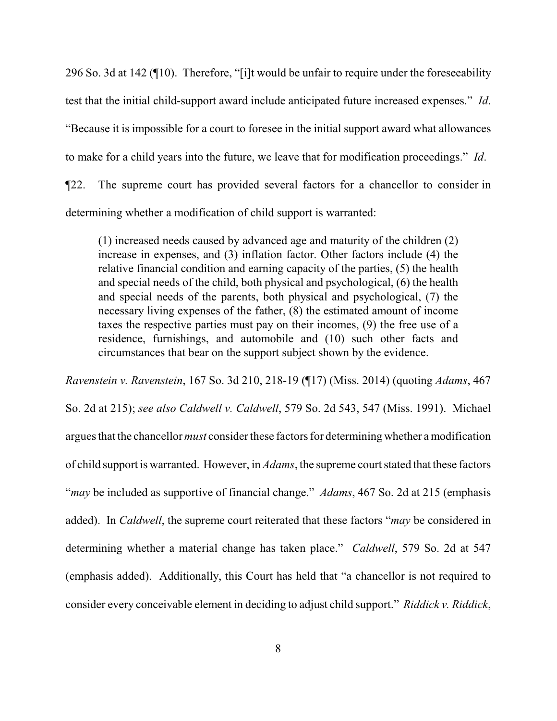296 So. 3d at 142 (¶10). Therefore, "[i]t would be unfair to require under the foreseeability test that the initial child-support award include anticipated future increased expenses." *Id*. "Because it is impossible for a court to foresee in the initial support award what allowances to make for a child years into the future, we leave that for modification proceedings." *Id*. ¶22. The supreme court has provided several factors for a chancellor to consider in determining whether a modification of child support is warranted:

(1) increased needs caused by advanced age and maturity of the children (2) increase in expenses, and (3) inflation factor. Other factors include (4) the relative financial condition and earning capacity of the parties, (5) the health and special needs of the child, both physical and psychological, (6) the health and special needs of the parents, both physical and psychological, (7) the necessary living expenses of the father, (8) the estimated amount of income taxes the respective parties must pay on their incomes, (9) the free use of a residence, furnishings, and automobile and (10) such other facts and circumstances that bear on the support subject shown by the evidence.

*Ravenstein v. Ravenstein*, 167 So. 3d 210, 218-19 (¶17) (Miss. 2014) (quoting *Adams*, 467 So. 2d at 215); *see also Caldwell v. Caldwell*, 579 So. 2d 543, 547 (Miss. 1991). Michael argues that the chancellor *must* consider these factors for determining whether a modification of child support is warranted. However, in *Adams*, the supreme court stated that these factors "*may* be included as supportive of financial change." *Adams*, 467 So. 2d at 215 (emphasis added). In *Caldwell*, the supreme court reiterated that these factors "*may* be considered in determining whether a material change has taken place." *Caldwell*, 579 So. 2d at 547 (emphasis added). Additionally, this Court has held that "a chancellor is not required to consider every conceivable element in deciding to adjust child support." *Riddick v. Riddick*,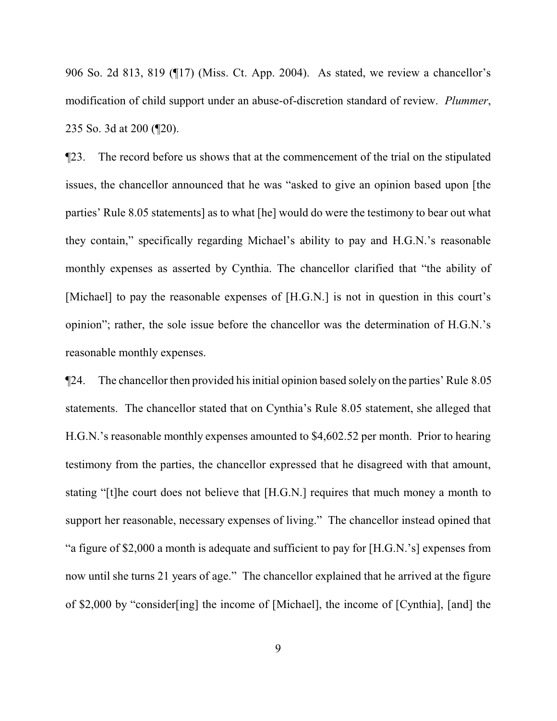906 So. 2d 813, 819 (¶17) (Miss. Ct. App. 2004). As stated, we review a chancellor's modification of child support under an abuse-of-discretion standard of review. *Plummer*, 235 So. 3d at 200 (¶20).

¶23. The record before us shows that at the commencement of the trial on the stipulated issues, the chancellor announced that he was "asked to give an opinion based upon [the parties' Rule 8.05 statements] as to what [he] would do were the testimony to bear out what they contain," specifically regarding Michael's ability to pay and H.G.N.'s reasonable monthly expenses as asserted by Cynthia. The chancellor clarified that "the ability of [Michael] to pay the reasonable expenses of [H.G.N.] is not in question in this court's opinion"; rather, the sole issue before the chancellor was the determination of H.G.N.'s reasonable monthly expenses.

¶24. The chancellor then provided his initial opinion based solely on the parties' Rule 8.05 statements. The chancellor stated that on Cynthia's Rule 8.05 statement, she alleged that H.G.N.'s reasonable monthly expenses amounted to \$4,602.52 per month. Prior to hearing testimony from the parties, the chancellor expressed that he disagreed with that amount, stating "[t]he court does not believe that [H.G.N.] requires that much money a month to support her reasonable, necessary expenses of living." The chancellor instead opined that "a figure of \$2,000 a month is adequate and sufficient to pay for [H.G.N.'s] expenses from now until she turns 21 years of age." The chancellor explained that he arrived at the figure of \$2,000 by "consider[ing] the income of [Michael], the income of [Cynthia], [and] the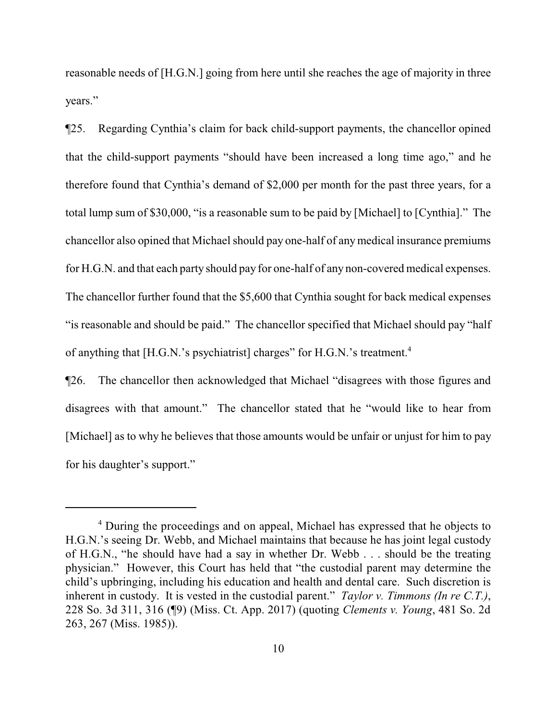reasonable needs of [H.G.N.] going from here until she reaches the age of majority in three years."

¶25. Regarding Cynthia's claim for back child-support payments, the chancellor opined that the child-support payments "should have been increased a long time ago," and he therefore found that Cynthia's demand of \$2,000 per month for the past three years, for a total lump sum of \$30,000, "is a reasonable sum to be paid by [Michael] to [Cynthia]." The chancellor also opined that Michael should pay one-half of anymedical insurance premiums for H.G.N. and that each party should pay for one-half of any non-covered medical expenses. The chancellor further found that the \$5,600 that Cynthia sought for back medical expenses "is reasonable and should be paid." The chancellor specified that Michael should pay "half of anything that [H.G.N.'s psychiatrist] charges" for H.G.N.'s treatment.<sup>4</sup>

¶26. The chancellor then acknowledged that Michael "disagrees with those figures and disagrees with that amount." The chancellor stated that he "would like to hear from [Michael] as to why he believes that those amounts would be unfair or unjust for him to pay for his daughter's support."

<sup>4</sup> During the proceedings and on appeal, Michael has expressed that he objects to H.G.N.'s seeing Dr. Webb, and Michael maintains that because he has joint legal custody of H.G.N., "he should have had a say in whether Dr. Webb . . . should be the treating physician." However, this Court has held that "the custodial parent may determine the child's upbringing, including his education and health and dental care. Such discretion is inherent in custody. It is vested in the custodial parent." *Taylor v. Timmons (In re C.T.)*, 228 So. 3d 311, 316 (¶9) (Miss. Ct. App. 2017) (quoting *Clements v. Young*, 481 So. 2d 263, 267 (Miss. 1985)).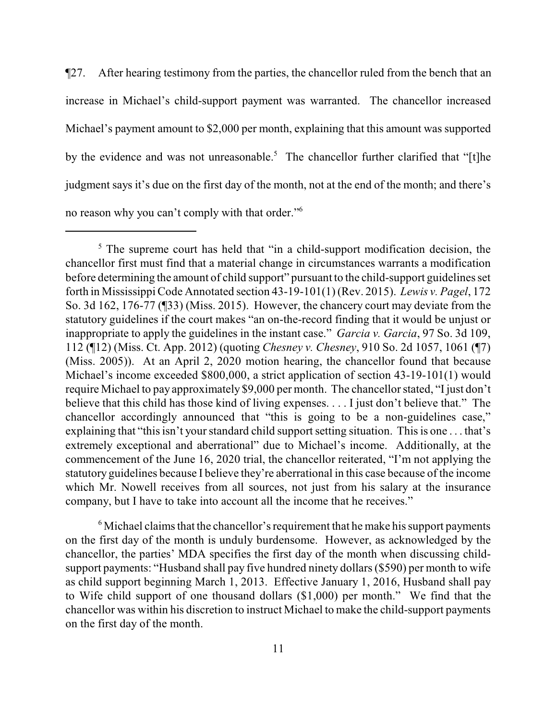¶27. After hearing testimony from the parties, the chancellor ruled from the bench that an increase in Michael's child-support payment was warranted. The chancellor increased Michael's payment amount to \$2,000 per month, explaining that this amount was supported by the evidence and was not unreasonable.<sup>5</sup> The chancellor further clarified that "[t]he judgment says it's due on the first day of the month, not at the end of the month; and there's no reason why you can't comply with that order."<sup>6</sup>

 $6$  Michael claims that the chancellor's requirement that he make his support payments on the first day of the month is unduly burdensome. However, as acknowledged by the chancellor, the parties' MDA specifies the first day of the month when discussing childsupport payments: "Husband shall pay five hundred ninety dollars (\$590) per month to wife as child support beginning March 1, 2013. Effective January 1, 2016, Husband shall pay to Wife child support of one thousand dollars (\$1,000) per month." We find that the chancellor was within his discretion to instruct Michael to make the child-support payments on the first day of the month.

<sup>&</sup>lt;sup>5</sup> The supreme court has held that "in a child-support modification decision, the chancellor first must find that a material change in circumstances warrants a modification before determining the amount of child support" pursuant to the child-support guidelines set forth in Mississippi Code Annotated section 43-19-101(1) (Rev. 2015). *Lewis v. Pagel*, 172 So. 3d 162, 176-77 (¶33) (Miss. 2015). However, the chancery court may deviate from the statutory guidelines if the court makes "an on-the-record finding that it would be unjust or inappropriate to apply the guidelines in the instant case." *Garcia v. Garcia*, 97 So. 3d 109, 112 (¶12) (Miss. Ct. App. 2012) (quoting *Chesney v. Chesney*, 910 So. 2d 1057, 1061 (¶7) (Miss. 2005)). At an April 2, 2020 motion hearing, the chancellor found that because Michael's income exceeded \$800,000, a strict application of section 43-19-101(1) would require Michael to pay approximately \$9,000 per month. The chancellor stated, "I just don't believe that this child has those kind of living expenses. . . . I just don't believe that." The chancellor accordingly announced that "this is going to be a non-guidelines case," explaining that "this isn't yourstandard child support setting situation. This is one . . . that's extremely exceptional and aberrational" due to Michael's income. Additionally, at the commencement of the June 16, 2020 trial, the chancellor reiterated, "I'm not applying the statutory guidelines because I believe they're aberrational in this case because of the income which Mr. Nowell receives from all sources, not just from his salary at the insurance company, but I have to take into account all the income that he receives."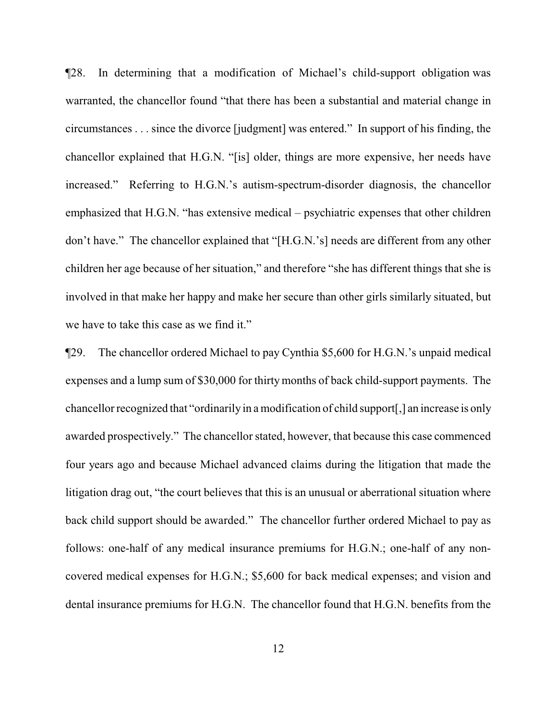¶28. In determining that a modification of Michael's child-support obligation was warranted, the chancellor found "that there has been a substantial and material change in circumstances . . . since the divorce [judgment] was entered." In support of his finding, the chancellor explained that H.G.N. "[is] older, things are more expensive, her needs have increased." Referring to H.G.N.'s autism-spectrum-disorder diagnosis, the chancellor emphasized that H.G.N. "has extensive medical – psychiatric expenses that other children don't have." The chancellor explained that "[H.G.N.'s] needs are different from any other children her age because of her situation," and therefore "she has different things that she is involved in that make her happy and make her secure than other girls similarly situated, but we have to take this case as we find it."

¶29. The chancellor ordered Michael to pay Cynthia \$5,600 for H.G.N.'s unpaid medical expenses and a lump sum of \$30,000 for thirty months of back child-support payments. The chancellor recognized that "ordinarily in a modification of child support[,] an increase is only awarded prospectively." The chancellor stated, however, that because this case commenced four years ago and because Michael advanced claims during the litigation that made the litigation drag out, "the court believes that this is an unusual or aberrational situation where back child support should be awarded." The chancellor further ordered Michael to pay as follows: one-half of any medical insurance premiums for H.G.N.; one-half of any noncovered medical expenses for H.G.N.; \$5,600 for back medical expenses; and vision and dental insurance premiums for H.G.N. The chancellor found that H.G.N. benefits from the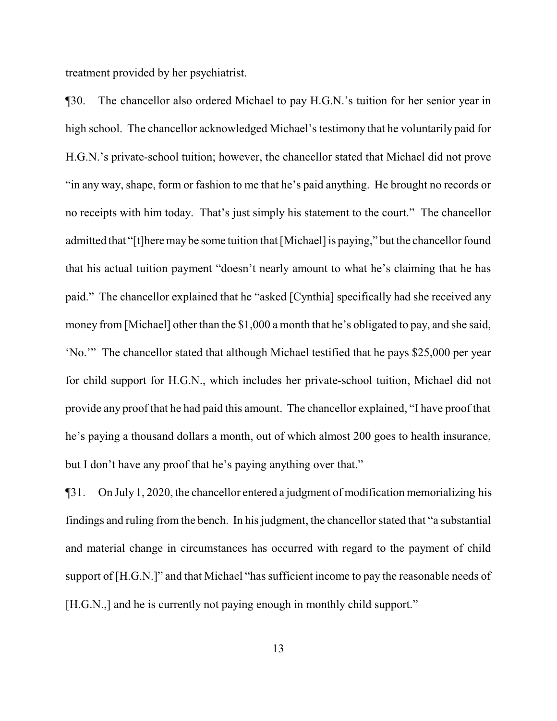treatment provided by her psychiatrist.

¶30. The chancellor also ordered Michael to pay H.G.N.'s tuition for her senior year in high school. The chancellor acknowledged Michael's testimony that he voluntarily paid for H.G.N.'s private-school tuition; however, the chancellor stated that Michael did not prove "in any way, shape, form or fashion to me that he's paid anything. He brought no records or no receipts with him today. That's just simply his statement to the court." The chancellor admitted that "[t]here may be some tuition that [Michael] is paying," but the chancellor found that his actual tuition payment "doesn't nearly amount to what he's claiming that he has paid." The chancellor explained that he "asked [Cynthia] specifically had she received any money from [Michael] other than the \$1,000 a month that he's obligated to pay, and she said, 'No.'" The chancellor stated that although Michael testified that he pays \$25,000 per year for child support for H.G.N., which includes her private-school tuition, Michael did not provide any proof that he had paid this amount. The chancellor explained, "I have proof that he's paying a thousand dollars a month, out of which almost 200 goes to health insurance, but I don't have any proof that he's paying anything over that."

¶31. On July 1, 2020, the chancellor entered a judgment of modification memorializing his findings and ruling from the bench. In his judgment, the chancellor stated that "a substantial and material change in circumstances has occurred with regard to the payment of child support of [H.G.N.]" and that Michael "has sufficient income to pay the reasonable needs of [H.G.N.,] and he is currently not paying enough in monthly child support."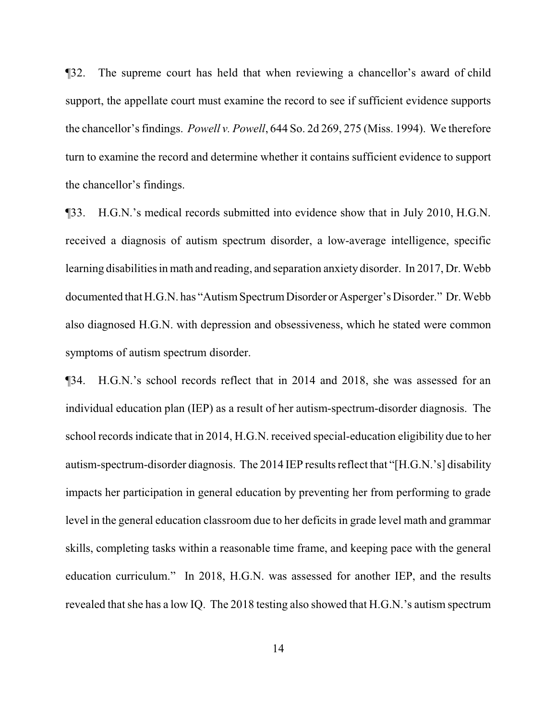¶32. The supreme court has held that when reviewing a chancellor's award of child support, the appellate court must examine the record to see if sufficient evidence supports the chancellor's findings. *Powell v. Powell*, 644 So. 2d 269, 275 (Miss. 1994). We therefore turn to examine the record and determine whether it contains sufficient evidence to support the chancellor's findings.

¶33. H.G.N.'s medical records submitted into evidence show that in July 2010, H.G.N. received a diagnosis of autism spectrum disorder, a low-average intelligence, specific learning disabilities in math and reading, and separation anxiety disorder. In 2017, Dr. Webb documented that H.G.N. has "Autism Spectrum Disorder or Asperger's Disorder." Dr. Webb also diagnosed H.G.N. with depression and obsessiveness, which he stated were common symptoms of autism spectrum disorder.

¶34. H.G.N.'s school records reflect that in 2014 and 2018, she was assessed for an individual education plan (IEP) as a result of her autism-spectrum-disorder diagnosis. The school records indicate that in 2014, H.G.N. received special-education eligibility due to her autism-spectrum-disorder diagnosis. The 2014 IEP results reflect that "[H.G.N.'s] disability impacts her participation in general education by preventing her from performing to grade level in the general education classroom due to her deficits in grade level math and grammar skills, completing tasks within a reasonable time frame, and keeping pace with the general education curriculum." In 2018, H.G.N. was assessed for another IEP, and the results revealed that she has a low IQ. The 2018 testing also showed that H.G.N.'s autism spectrum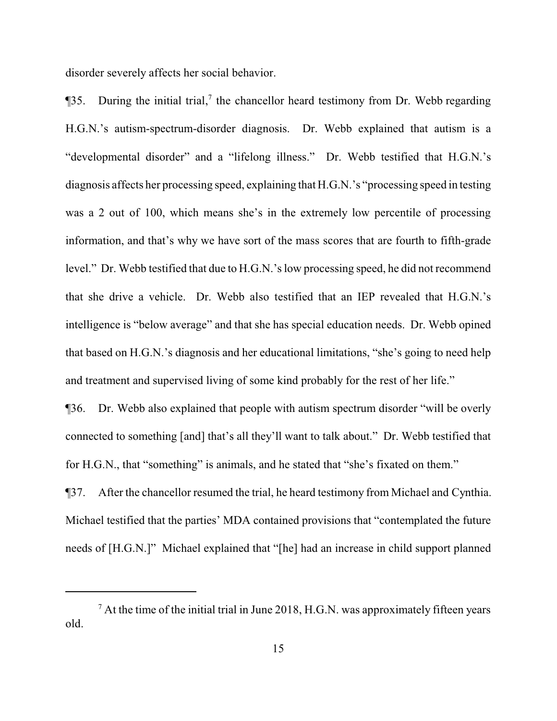disorder severely affects her social behavior.

 $\P$ 35. During the initial trial,<sup>7</sup> the chancellor heard testimony from Dr. Webb regarding H.G.N.'s autism-spectrum-disorder diagnosis. Dr. Webb explained that autism is a "developmental disorder" and a "lifelong illness." Dr. Webb testified that H.G.N.'s diagnosis affects her processing speed, explaining that H.G.N.'s "processing speed in testing was a 2 out of 100, which means she's in the extremely low percentile of processing information, and that's why we have sort of the mass scores that are fourth to fifth-grade level." Dr. Webb testified that due to H.G.N.'s low processing speed, he did not recommend that she drive a vehicle. Dr. Webb also testified that an IEP revealed that H.G.N.'s intelligence is "below average" and that she has special education needs. Dr. Webb opined that based on H.G.N.'s diagnosis and her educational limitations, "she's going to need help and treatment and supervised living of some kind probably for the rest of her life."

¶36. Dr. Webb also explained that people with autism spectrum disorder "will be overly connected to something [and] that's all they'll want to talk about." Dr. Webb testified that for H.G.N., that "something" is animals, and he stated that "she's fixated on them."

¶37. After the chancellor resumed the trial, he heard testimony from Michael and Cynthia. Michael testified that the parties' MDA contained provisions that "contemplated the future needs of [H.G.N.]" Michael explained that "[he] had an increase in child support planned

 $<sup>7</sup>$  At the time of the initial trial in June 2018, H.G.N. was approximately fifteen years</sup> old.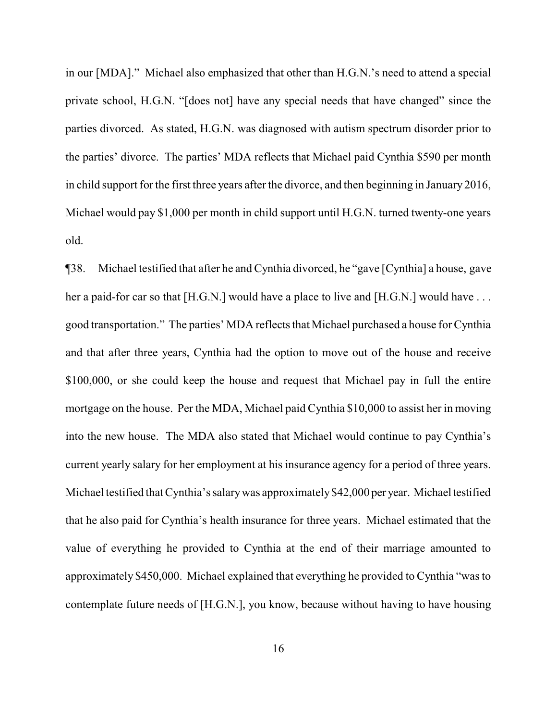in our [MDA]." Michael also emphasized that other than H.G.N.'s need to attend a special private school, H.G.N. "[does not] have any special needs that have changed" since the parties divorced. As stated, H.G.N. was diagnosed with autism spectrum disorder prior to the parties' divorce. The parties' MDA reflects that Michael paid Cynthia \$590 per month in child support for the first three years after the divorce, and then beginning in January 2016, Michael would pay \$1,000 per month in child support until H.G.N. turned twenty-one years old.

¶38. Michael testified that after he and Cynthia divorced, he "gave [Cynthia] a house, gave her a paid-for car so that [H.G.N.] would have a place to live and [H.G.N.] would have ... good transportation." The parties' MDA reflects that Michael purchased a house for Cynthia and that after three years, Cynthia had the option to move out of the house and receive \$100,000, or she could keep the house and request that Michael pay in full the entire mortgage on the house. Per the MDA, Michael paid Cynthia \$10,000 to assist her in moving into the new house. The MDA also stated that Michael would continue to pay Cynthia's current yearly salary for her employment at his insurance agency for a period of three years. Michael testified that Cynthia's salary was approximately \$42,000 per year. Michael testified that he also paid for Cynthia's health insurance for three years. Michael estimated that the value of everything he provided to Cynthia at the end of their marriage amounted to approximately \$450,000. Michael explained that everything he provided to Cynthia "was to contemplate future needs of [H.G.N.], you know, because without having to have housing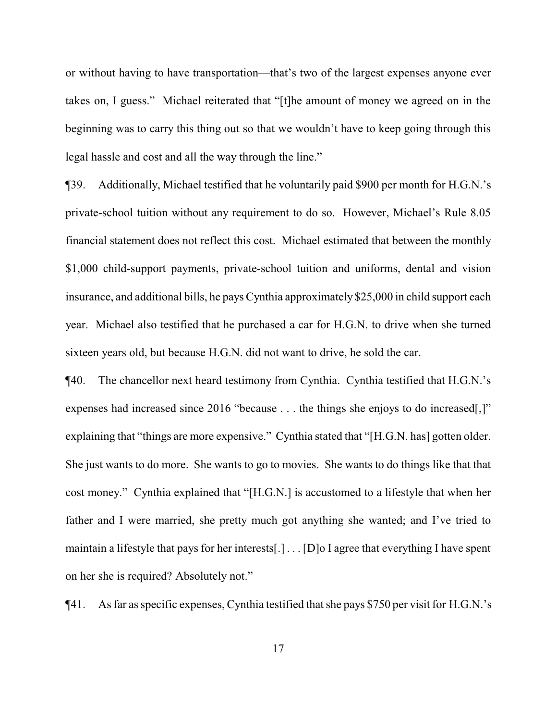or without having to have transportation—that's two of the largest expenses anyone ever takes on, I guess." Michael reiterated that "[t]he amount of money we agreed on in the beginning was to carry this thing out so that we wouldn't have to keep going through this legal hassle and cost and all the way through the line."

¶39. Additionally, Michael testified that he voluntarily paid \$900 per month for H.G.N.'s private-school tuition without any requirement to do so. However, Michael's Rule 8.05 financial statement does not reflect this cost. Michael estimated that between the monthly \$1,000 child-support payments, private-school tuition and uniforms, dental and vision insurance, and additional bills, he pays Cynthia approximately \$25,000 in child support each year. Michael also testified that he purchased a car for H.G.N. to drive when she turned sixteen years old, but because H.G.N. did not want to drive, he sold the car.

¶40. The chancellor next heard testimony from Cynthia. Cynthia testified that H.G.N.'s expenses had increased since 2016 "because . . . the things she enjoys to do increased[,]" explaining that "things are more expensive." Cynthia stated that "[H.G.N. has] gotten older. She just wants to do more. She wants to go to movies. She wants to do things like that that cost money." Cynthia explained that "[H.G.N.] is accustomed to a lifestyle that when her father and I were married, she pretty much got anything she wanted; and I've tried to maintain a lifestyle that pays for her interests[.] . . . [D]o I agree that everything I have spent on her she is required? Absolutely not."

¶41. As far as specific expenses, Cynthia testified that she pays \$750 per visit for H.G.N.'s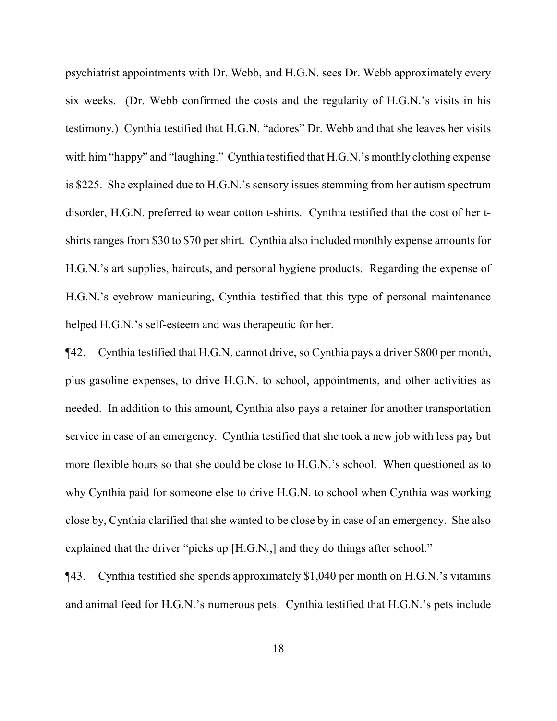psychiatrist appointments with Dr. Webb, and H.G.N. sees Dr. Webb approximately every six weeks. (Dr. Webb confirmed the costs and the regularity of H.G.N.'s visits in his testimony.) Cynthia testified that H.G.N. "adores" Dr. Webb and that she leaves her visits with him "happy" and "laughing." Cynthia testified that H.G.N.'s monthly clothing expense is \$225. She explained due to H.G.N.'s sensory issues stemming from her autism spectrum disorder, H.G.N. preferred to wear cotton t-shirts. Cynthia testified that the cost of her tshirts ranges from \$30 to \$70 per shirt. Cynthia also included monthly expense amounts for H.G.N.'s art supplies, haircuts, and personal hygiene products. Regarding the expense of H.G.N.'s eyebrow manicuring, Cynthia testified that this type of personal maintenance helped H.G.N.'s self-esteem and was therapeutic for her.

¶42. Cynthia testified that H.G.N. cannot drive, so Cynthia pays a driver \$800 per month, plus gasoline expenses, to drive H.G.N. to school, appointments, and other activities as needed. In addition to this amount, Cynthia also pays a retainer for another transportation service in case of an emergency. Cynthia testified that she took a new job with less pay but more flexible hours so that she could be close to H.G.N.'s school. When questioned as to why Cynthia paid for someone else to drive H.G.N. to school when Cynthia was working close by, Cynthia clarified that she wanted to be close by in case of an emergency. She also explained that the driver "picks up [H.G.N.,] and they do things after school."

¶43. Cynthia testified she spends approximately \$1,040 per month on H.G.N.'s vitamins and animal feed for H.G.N.'s numerous pets. Cynthia testified that H.G.N.'s pets include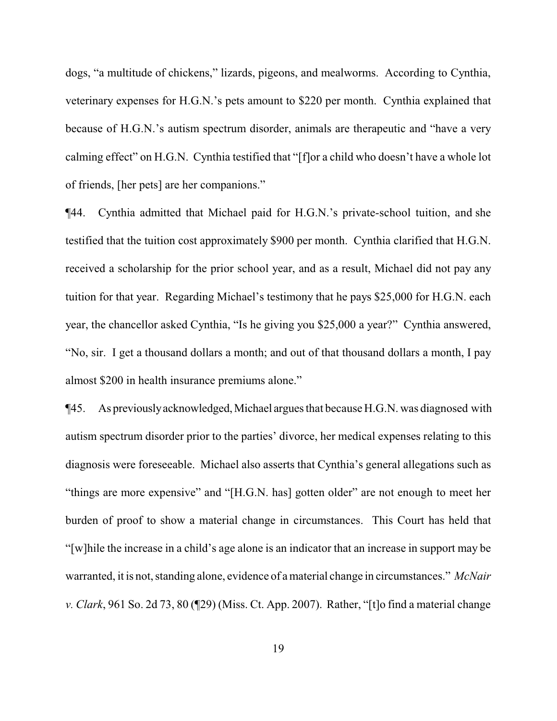dogs, "a multitude of chickens," lizards, pigeons, and mealworms. According to Cynthia, veterinary expenses for H.G.N.'s pets amount to \$220 per month. Cynthia explained that because of H.G.N.'s autism spectrum disorder, animals are therapeutic and "have a very calming effect" on H.G.N. Cynthia testified that "[f]or a child who doesn't have a whole lot of friends, [her pets] are her companions."

¶44. Cynthia admitted that Michael paid for H.G.N.'s private-school tuition, and she testified that the tuition cost approximately \$900 per month. Cynthia clarified that H.G.N. received a scholarship for the prior school year, and as a result, Michael did not pay any tuition for that year. Regarding Michael's testimony that he pays \$25,000 for H.G.N. each year, the chancellor asked Cynthia, "Is he giving you \$25,000 a year?" Cynthia answered, "No, sir. I get a thousand dollars a month; and out of that thousand dollars a month, I pay almost \$200 in health insurance premiums alone."

¶45. As previouslyacknowledged,Michael argues that because H.G.N. was diagnosed with autism spectrum disorder prior to the parties' divorce, her medical expenses relating to this diagnosis were foreseeable. Michael also asserts that Cynthia's general allegations such as "things are more expensive" and "[H.G.N. has] gotten older" are not enough to meet her burden of proof to show a material change in circumstances. This Court has held that "[w]hile the increase in a child's age alone is an indicator that an increase in support may be warranted, it is not, standing alone, evidence of a material change in circumstances." *McNair v. Clark*, 961 So. 2d 73, 80 (¶29) (Miss. Ct. App. 2007). Rather, "[t]o find a material change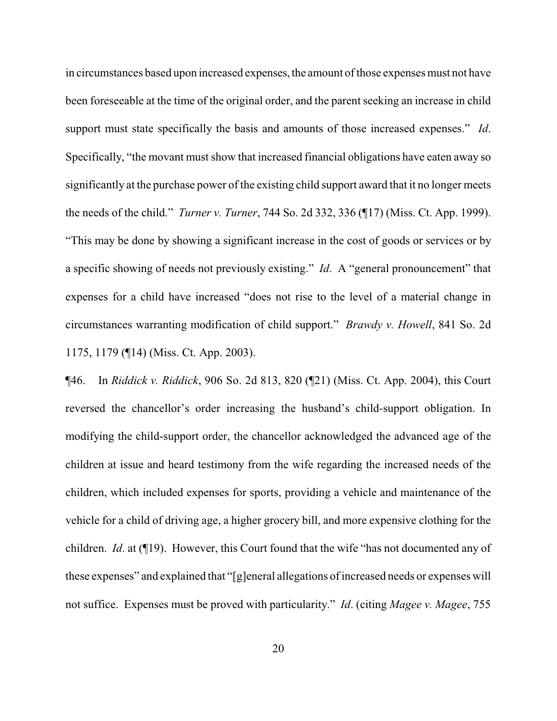in circumstances based upon increased expenses, the amount of those expenses must not have been foreseeable at the time of the original order, and the parent seeking an increase in child support must state specifically the basis and amounts of those increased expenses." *Id*. Specifically, "the movant must show that increased financial obligations have eaten away so significantly at the purchase power of the existing child support award that it no longer meets the needs of the child." *Turner v. Turner*, 744 So. 2d 332, 336 (¶17) (Miss. Ct. App. 1999). "This may be done by showing a significant increase in the cost of goods or services or by a specific showing of needs not previously existing." *Id*. A "general pronouncement" that expenses for a child have increased "does not rise to the level of a material change in circumstances warranting modification of child support." *Brawdy v. Howell*, 841 So. 2d 1175, 1179 (¶14) (Miss. Ct. App. 2003).

¶46. In *Riddick v. Riddick*, 906 So. 2d 813, 820 (¶21) (Miss. Ct. App. 2004), this Court reversed the chancellor's order increasing the husband's child-support obligation. In modifying the child-support order, the chancellor acknowledged the advanced age of the children at issue and heard testimony from the wife regarding the increased needs of the children, which included expenses for sports, providing a vehicle and maintenance of the vehicle for a child of driving age, a higher grocery bill, and more expensive clothing for the children. *Id*. at (¶19). However, this Court found that the wife "has not documented any of these expenses" and explained that "[g]eneral allegations ofincreased needs or expenses will not suffice. Expenses must be proved with particularity." *Id*. (citing *Magee v. Magee*, 755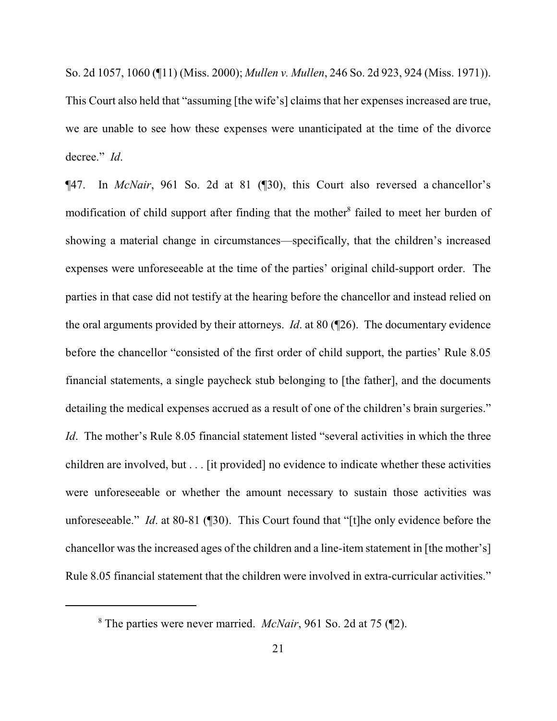So. 2d 1057, 1060 (¶11) (Miss. 2000); *Mullen v. Mullen*, 246 So. 2d 923, 924 (Miss. 1971)). This Court also held that "assuming [the wife's] claims that her expenses increased are true, we are unable to see how these expenses were unanticipated at the time of the divorce decree." *Id*.

¶47. In *McNair*, 961 So. 2d at 81 (¶30), this Court also reversed a chancellor's modification of child support after finding that the mother<sup>8</sup> failed to meet her burden of showing a material change in circumstances—specifically, that the children's increased expenses were unforeseeable at the time of the parties' original child-support order. The parties in that case did not testify at the hearing before the chancellor and instead relied on the oral arguments provided by their attorneys. *Id*. at 80 (¶26). The documentary evidence before the chancellor "consisted of the first order of child support, the parties' Rule 8.05 financial statements, a single paycheck stub belonging to [the father], and the documents detailing the medical expenses accrued as a result of one of the children's brain surgeries." *Id.* The mother's Rule 8.05 financial statement listed "several activities in which the three children are involved, but . . . [it provided] no evidence to indicate whether these activities were unforeseeable or whether the amount necessary to sustain those activities was unforeseeable." *Id*. at 80-81 (¶30). This Court found that "[t]he only evidence before the chancellor was the increased ages of the children and a line-item statement in [the mother's] Rule 8.05 financial statement that the children were involved in extra-curricular activities."

<sup>8</sup> The parties were never married. *McNair*, 961 So. 2d at 75 (¶2).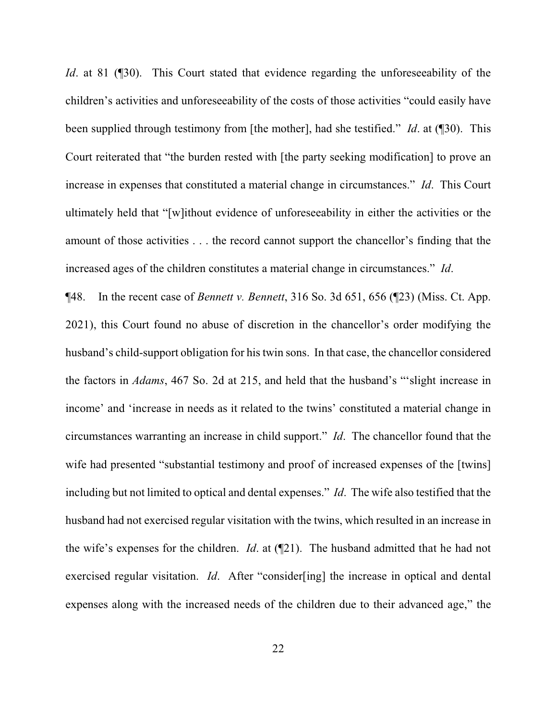*Id*. at 81 (¶30). This Court stated that evidence regarding the unforeseeability of the children's activities and unforeseeability of the costs of those activities "could easily have been supplied through testimony from [the mother], had she testified." *Id*. at (¶30). This Court reiterated that "the burden rested with [the party seeking modification] to prove an increase in expenses that constituted a material change in circumstances." *Id*. This Court ultimately held that "[w]ithout evidence of unforeseeability in either the activities or the amount of those activities . . . the record cannot support the chancellor's finding that the increased ages of the children constitutes a material change in circumstances." *Id*.

¶48. In the recent case of *Bennett v. Bennett*, 316 So. 3d 651, 656 (¶23) (Miss. Ct. App. 2021), this Court found no abuse of discretion in the chancellor's order modifying the husband's child-support obligation for his twin sons. In that case, the chancellor considered the factors in *Adams*, 467 So. 2d at 215, and held that the husband's "'slight increase in income' and 'increase in needs as it related to the twins' constituted a material change in circumstances warranting an increase in child support." *Id*. The chancellor found that the wife had presented "substantial testimony and proof of increased expenses of the [twins] including but not limited to optical and dental expenses." *Id*. The wife also testified that the husband had not exercised regular visitation with the twins, which resulted in an increase in the wife's expenses for the children. *Id*. at (¶21). The husband admitted that he had not exercised regular visitation. *Id*. After "consider[ing] the increase in optical and dental expenses along with the increased needs of the children due to their advanced age," the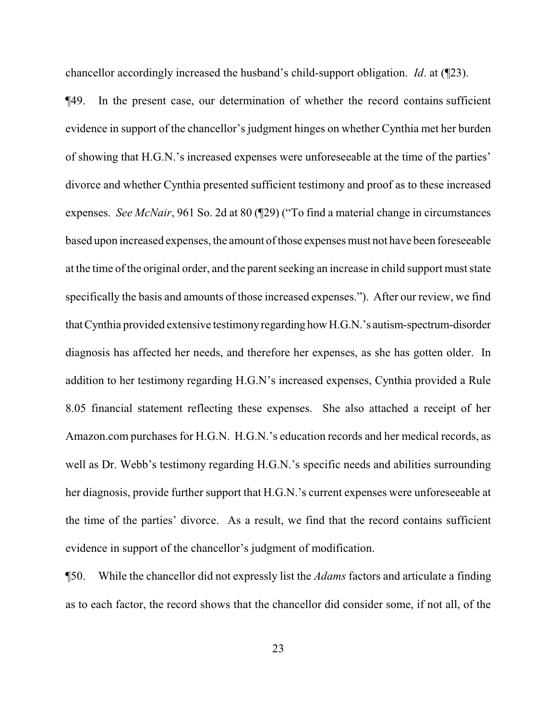chancellor accordingly increased the husband's child-support obligation. *Id*. at (¶23).

¶49. In the present case, our determination of whether the record contains sufficient evidence in support of the chancellor's judgment hinges on whether Cynthia met her burden of showing that H.G.N.'s increased expenses were unforeseeable at the time of the parties' divorce and whether Cynthia presented sufficient testimony and proof as to these increased expenses. *See McNair*, 961 So. 2d at 80 (¶29) ("To find a material change in circumstances based upon increased expenses, the amount of those expenses must not have been foreseeable at the time of the original order, and the parent seeking an increase in child support must state specifically the basis and amounts of those increased expenses."). After our review, we find thatCynthia provided extensive testimonyregarding howH.G.N.'s autism-spectrum-disorder diagnosis has affected her needs, and therefore her expenses, as she has gotten older. In addition to her testimony regarding H.G.N's increased expenses, Cynthia provided a Rule 8.05 financial statement reflecting these expenses. She also attached a receipt of her Amazon.com purchases for H.G.N. H.G.N.'s education records and her medical records, as well as Dr. Webb's testimony regarding H.G.N.'s specific needs and abilities surrounding her diagnosis, provide further support that H.G.N.'s current expenses were unforeseeable at the time of the parties' divorce. As a result, we find that the record contains sufficient evidence in support of the chancellor's judgment of modification.

¶50. While the chancellor did not expressly list the *Adams* factors and articulate a finding as to each factor, the record shows that the chancellor did consider some, if not all, of the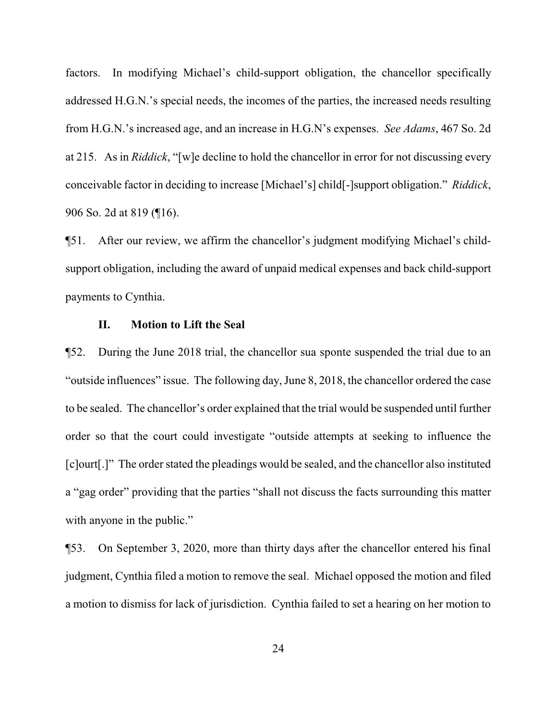factors. In modifying Michael's child-support obligation, the chancellor specifically addressed H.G.N.'s special needs, the incomes of the parties, the increased needs resulting from H.G.N.'s increased age, and an increase in H.G.N's expenses. *See Adams*, 467 So. 2d at 215. As in *Riddick*, "[w]e decline to hold the chancellor in error for not discussing every conceivable factor in deciding to increase [Michael's] child[-]support obligation." *Riddick*, 906 So. 2d at 819 (¶16).

¶51. After our review, we affirm the chancellor's judgment modifying Michael's childsupport obligation, including the award of unpaid medical expenses and back child-support payments to Cynthia.

#### **II. Motion to Lift the Seal**

¶52. During the June 2018 trial, the chancellor sua sponte suspended the trial due to an "outside influences" issue. The following day, June 8, 2018, the chancellor ordered the case to be sealed. The chancellor's order explained that the trial would be suspended until further order so that the court could investigate "outside attempts at seeking to influence the [c]ourt[.]" The order stated the pleadings would be sealed, and the chancellor also instituted a "gag order" providing that the parties "shall not discuss the facts surrounding this matter with anyone in the public."

¶53. On September 3, 2020, more than thirty days after the chancellor entered his final judgment, Cynthia filed a motion to remove the seal. Michael opposed the motion and filed a motion to dismiss for lack of jurisdiction. Cynthia failed to set a hearing on her motion to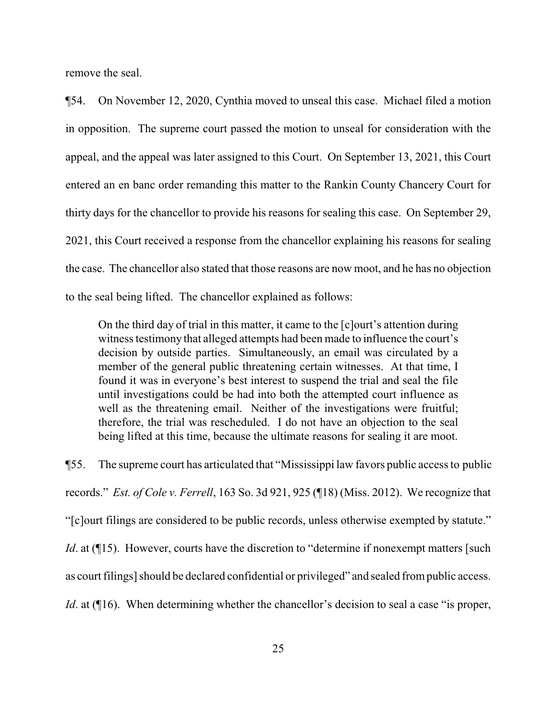remove the seal.

¶54. On November 12, 2020, Cynthia moved to unseal this case. Michael filed a motion in opposition. The supreme court passed the motion to unseal for consideration with the appeal, and the appeal was later assigned to this Court. On September 13, 2021, this Court entered an en banc order remanding this matter to the Rankin County Chancery Court for thirty days for the chancellor to provide his reasons for sealing this case. On September 29, 2021, this Court received a response from the chancellor explaining his reasons for sealing the case. The chancellor also stated that those reasons are now moot, and he has no objection to the seal being lifted. The chancellor explained as follows:

On the third day of trial in this matter, it came to the [c]ourt's attention during witness testimony that alleged attempts had been made to influence the court's decision by outside parties. Simultaneously, an email was circulated by a member of the general public threatening certain witnesses. At that time, I found it was in everyone's best interest to suspend the trial and seal the file until investigations could be had into both the attempted court influence as well as the threatening email. Neither of the investigations were fruitful; therefore, the trial was rescheduled. I do not have an objection to the seal being lifted at this time, because the ultimate reasons for sealing it are moot.

¶55. The supreme court has articulated that "Mississippi law favors public access to public records." *Est. of Cole v. Ferrell*, 163 So. 3d 921, 925 (¶18) (Miss. 2012). We recognize that "[c]ourt filings are considered to be public records, unless otherwise exempted by statute." *Id.* at (¶15). However, courts have the discretion to "determine if nonexempt matters [such] as court filings] should be declared confidential or privileged" and sealed frompublic access. *Id.* at ([16]. When determining whether the chancellor's decision to seal a case "is proper,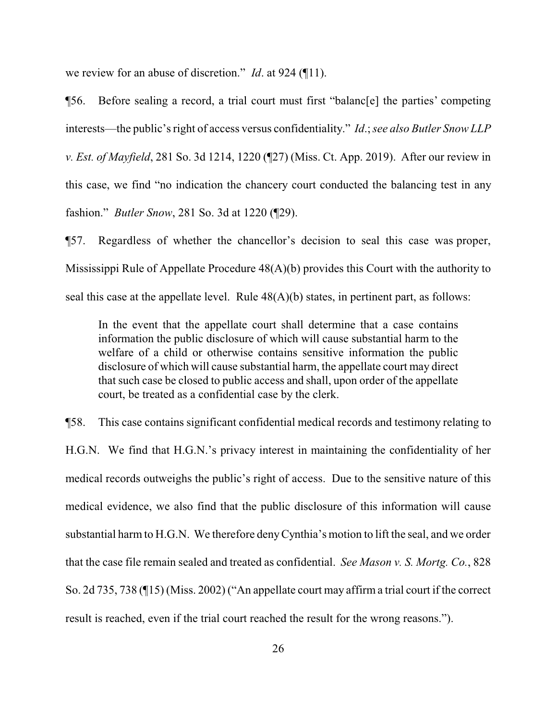we review for an abuse of discretion." *Id*. at 924 (¶11).

¶56. Before sealing a record, a trial court must first "balanc[e] the parties' competing interests—the public's right of access versus confidentiality." *Id*.; *see also Butler Snow LLP v. Est. of Mayfield*, 281 So. 3d 1214, 1220 (¶27) (Miss. Ct. App. 2019). After our review in this case, we find "no indication the chancery court conducted the balancing test in any fashion." *Butler Snow*, 281 So. 3d at 1220 (¶29).

¶57. Regardless of whether the chancellor's decision to seal this case was proper, Mississippi Rule of Appellate Procedure 48(A)(b) provides this Court with the authority to seal this case at the appellate level. Rule 48(A)(b) states, in pertinent part, as follows:

In the event that the appellate court shall determine that a case contains information the public disclosure of which will cause substantial harm to the welfare of a child or otherwise contains sensitive information the public disclosure of which will cause substantial harm, the appellate court may direct that such case be closed to public access and shall, upon order of the appellate court, be treated as a confidential case by the clerk.

¶58. This case contains significant confidential medical records and testimony relating to H.G.N. We find that H.G.N.'s privacy interest in maintaining the confidentiality of her medical records outweighs the public's right of access. Due to the sensitive nature of this medical evidence, we also find that the public disclosure of this information will cause substantial harm to H.G.N. We therefore denyCynthia's motion to lift the seal, and we order that the case file remain sealed and treated as confidential. *See Mason v. S. Mortg. Co.*, 828 So. 2d 735, 738 (¶15) (Miss. 2002) ("An appellate court may affirm a trial court if the correct result is reached, even if the trial court reached the result for the wrong reasons.").